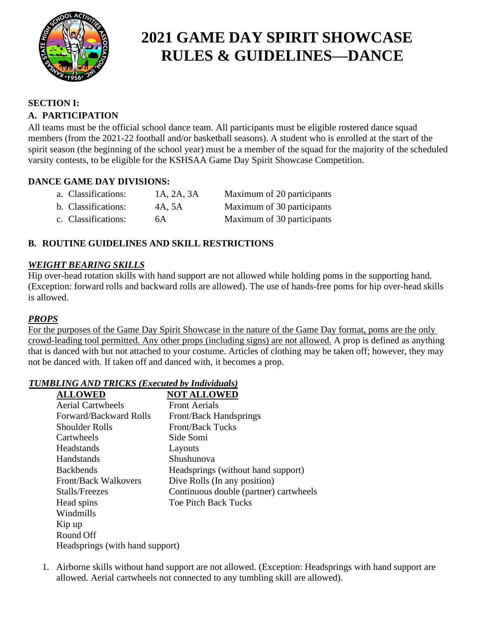

#### **SECTION I:**

#### **A. PARTICIPATION**

All teams must be the official school dance team. All participants must be eligible rostered dance squad members (from the 2021-22 football and/or basketball seasons). A student who is enrolled at the start of the spirit season (the beginning of the school year) must be a member of the squad for the majority of the scheduled varsity contests, to be eligible for the KSHSAA Game Day Spirit Showcase Competition.

### **DANCE GAME DAY DIVISIONS:**

| a. Classifications: | 1A, 2A, 3A | Maximum of 20 participants |
|---------------------|------------|----------------------------|
| b. Classifications: | 4A, 5A     | Maximum of 30 participants |
| c. Classifications: | 6A         | Maximum of 30 participants |

### **B. ROUTINE GUIDELINES AND SKILL RESTRICTIONS**

#### *WEIGHT BEARING SKILLS*

Hip over-head rotation skills with hand support are not allowed while holding poms in the supporting hand. (Exception: forward rolls and backward rolls are allowed). The use of hands-free poms for hip over-head skills is allowed.

#### *PROPS*

For the purposes of the Game Day Spirit Showcase in the nature of the Game Day format, poms are the only crowd-leading tool permitted. Any other props (including signs) are not allowed. A prop is defined as anything that is danced with but not attached to your costume. Articles of clothing may be taken off; however, they may not be danced with. If taken off and danced with, it becomes a prop.

#### *TUMBLING AND TRICKS (Executed by Individuals)*

| <b>ALLOWED</b>                  | <b>NOT ALLOWED</b>                     |  |
|---------------------------------|----------------------------------------|--|
| <b>Aerial Cartwheels</b>        | <b>Front Aerials</b>                   |  |
| Forward/Backward Rolls          | Front/Back Handsprings                 |  |
| Shoulder Rolls                  | <b>Front/Back Tucks</b>                |  |
| Cartwheels                      | Side Somi                              |  |
| Headstands                      | Layouts                                |  |
| Handstands                      | Shushunova                             |  |
| <b>Backbends</b>                | Headsprings (without hand support)     |  |
| <b>Front/Back Walkovers</b>     | Dive Rolls (In any position)           |  |
| Stalls/Freezes                  | Continuous double (partner) cartwheels |  |
| Head spins                      | <b>Toe Pitch Back Tucks</b>            |  |
| Windmills                       |                                        |  |
| Kip up                          |                                        |  |
| Round Off                       |                                        |  |
| Headsprings (with hand support) |                                        |  |

1. Airborne skills without hand support are not allowed. (Exception: Headsprings with hand support are allowed. Aerial cartwheels not connected to any tumbling skill are allowed).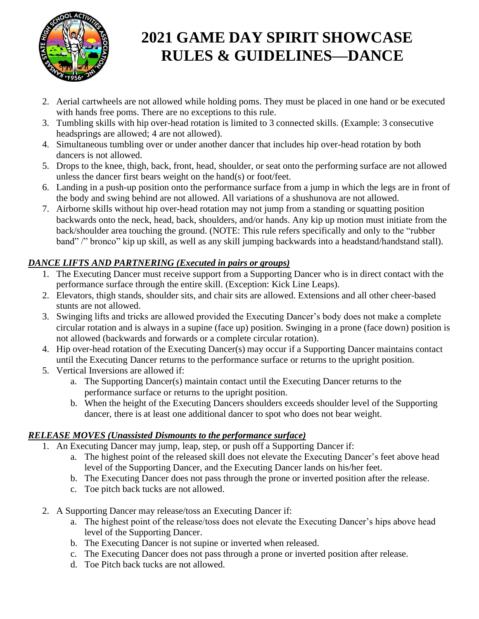

- 2. Aerial cartwheels are not allowed while holding poms. They must be placed in one hand or be executed with hands free poms. There are no exceptions to this rule.
- 3. Tumbling skills with hip over-head rotation is limited to 3 connected skills. (Example: 3 consecutive headsprings are allowed; 4 are not allowed).
- 4. Simultaneous tumbling over or under another dancer that includes hip over-head rotation by both dancers is not allowed.
- 5. Drops to the knee, thigh, back, front, head, shoulder, or seat onto the performing surface are not allowed unless the dancer first bears weight on the hand(s) or foot/feet.
- 6. Landing in a push-up position onto the performance surface from a jump in which the legs are in front of the body and swing behind are not allowed. All variations of a shushunova are not allowed.
- 7. Airborne skills without hip over-head rotation may not jump from a standing or squatting position backwards onto the neck, head, back, shoulders, and/or hands. Any kip up motion must initiate from the back/shoulder area touching the ground. (NOTE: This rule refers specifically and only to the "rubber band" /" bronco" kip up skill, as well as any skill jumping backwards into a headstand/handstand stall).

## *DANCE LIFTS AND PARTNERING (Executed in pairs or groups)*

- 1. The Executing Dancer must receive support from a Supporting Dancer who is in direct contact with the performance surface through the entire skill. (Exception: Kick Line Leaps).
- 2. Elevators, thigh stands, shoulder sits, and chair sits are allowed. Extensions and all other cheer-based stunts are not allowed.
- 3. Swinging lifts and tricks are allowed provided the Executing Dancer's body does not make a complete circular rotation and is always in a supine (face up) position. Swinging in a prone (face down) position is not allowed (backwards and forwards or a complete circular rotation).
- 4. Hip over-head rotation of the Executing Dancer(s) may occur if a Supporting Dancer maintains contact until the Executing Dancer returns to the performance surface or returns to the upright position.
- 5. Vertical Inversions are allowed if:
	- a. The Supporting Dancer(s) maintain contact until the Executing Dancer returns to the performance surface or returns to the upright position.
	- b. When the height of the Executing Dancers shoulders exceeds shoulder level of the Supporting dancer, there is at least one additional dancer to spot who does not bear weight.

## *RELEASE MOVES (Unassisted Dismounts to the performance surface)*

- 1. An Executing Dancer may jump, leap, step, or push off a Supporting Dancer if:
	- a. The highest point of the released skill does not elevate the Executing Dancer's feet above head level of the Supporting Dancer, and the Executing Dancer lands on his/her feet.
	- b. The Executing Dancer does not pass through the prone or inverted position after the release.
	- c. Toe pitch back tucks are not allowed.
- 2. A Supporting Dancer may release/toss an Executing Dancer if:
	- a. The highest point of the release/toss does not elevate the Executing Dancer's hips above head level of the Supporting Dancer.
	- b. The Executing Dancer is not supine or inverted when released.
	- c. The Executing Dancer does not pass through a prone or inverted position after release.
	- d. Toe Pitch back tucks are not allowed.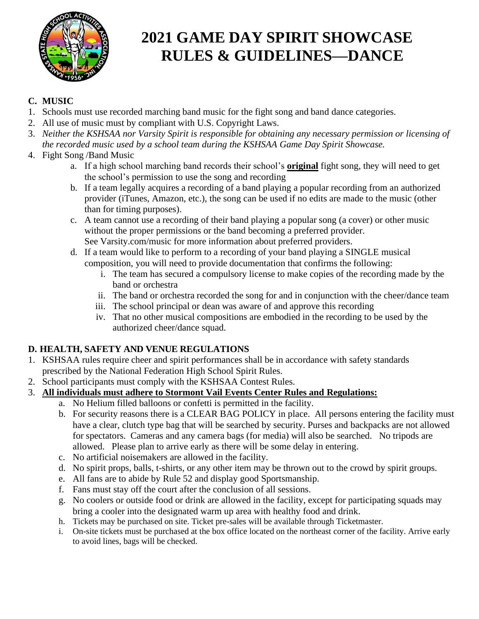

## **C. MUSIC**

- 1. Schools must use recorded marching band music for the fight song and band dance categories.
- 2. All use of music must by compliant with U.S. Copyright Laws.
- 3. *Neither the KSHSAA nor Varsity Spirit is responsible for obtaining any necessary permission or licensing of the recorded music used by a school team during the KSHSAA Game Day Spirit Showcase.*

### 4. Fight Song /Band Music

- a. If a high school marching band records their school's **original** fight song, they will need to get the school's permission to use the song and recording
- b. If a team legally acquires a recording of a band playing a popular recording from an authorized provider (iTunes, Amazon, etc.), the song can be used if no edits are made to the music (other than for timing purposes).
- c. A team cannot use a recording of their band playing a popular song (a cover) or other music without the proper permissions or the band becoming a preferred provider. See Varsity.com/music for more information about preferred providers.
- d. If a team would like to perform to a recording of your band playing a SINGLE musical composition, you will need to provide documentation that confirms the following:
	- i. The team has secured a compulsory license to make copies of the recording made by the band or orchestra
	- ii. The band or orchestra recorded the song for and in conjunction with the cheer/dance team
	- iii. The school principal or dean was aware of and approve this recording
	- iv. That no other musical compositions are embodied in the recording to be used by the authorized cheer/dance squad.

## **D. HEALTH, SAFETY AND VENUE REGULATIONS**

- 1. KSHSAA rules require cheer and spirit performances shall be in accordance with safety standards prescribed by the National Federation High School Spirit Rules.
- 2. School participants must comply with the KSHSAA Contest Rules.
- 3. **All individuals must adhere to Stormont Vail Events Center Rules and Regulations:**
	- a. No Helium filled balloons or confetti is permitted in the facility.
	- b. For security reasons there is a CLEAR BAG POLICY in place. All persons entering the facility must have a clear, clutch type bag that will be searched by security. Purses and backpacks are not allowed for spectators. Cameras and any camera bags (for media) will also be searched. No tripods are allowed. Please plan to arrive early as there will be some delay in entering.
	- c. No artificial noisemakers are allowed in the facility.
	- d. No spirit props, balls, t-shirts, or any other item may be thrown out to the crowd by spirit groups.
	- e. All fans are to abide by Rule 52 and display good Sportsmanship.
	- f. Fans must stay off the court after the conclusion of all sessions.
	- g. No coolers or outside food or drink are allowed in the facility, except for participating squads may bring a cooler into the designated warm up area with healthy food and drink.
	- h. Tickets may be purchased on site. Ticket pre-sales will be available through Ticketmaster.
	- i. On-site tickets must be purchased at the box office located on the northeast corner of the facility. Arrive early to avoid lines, bags will be checked.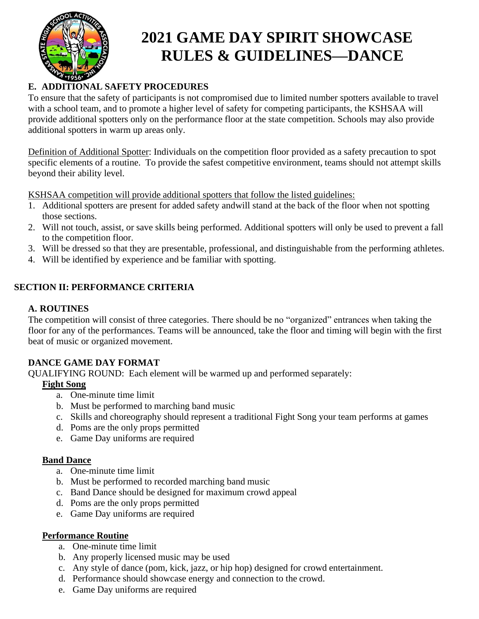

# **E. ADDITIONAL SAFETY PROCEDURES**

To ensure that the safety of participants is not compromised due to limited number spotters available to travel with a school team, and to promote a higher level of safety for competing participants, the KSHSAA will provide additional spotters only on the performance floor at the state competition. Schools may also provide additional spotters in warm up areas only.

Definition of Additional Spotter: Individuals on the competition floor provided as a safety precaution to spot specific elements of a routine. To provide the safest competitive environment, teams should not attempt skills beyond their ability level.

KSHSAA competition will provide additional spotters that follow the listed guidelines:

- 1. Additional spotters are present for added safety andwill stand at the back of the floor when not spotting those sections.
- 2. Will not touch, assist, or save skills being performed. Additional spotters will only be used to prevent a fall to the competition floor.
- 3. Will be dressed so that they are presentable, professional, and distinguishable from the performing athletes.
- 4. Will be identified by experience and be familiar with spotting.

### **SECTION II: PERFORMANCE CRITERIA**

#### **A. ROUTINES**

The competition will consist of three categories. There should be no "organized" entrances when taking the floor for any of the performances. Teams will be announced, take the floor and timing will begin with the first beat of music or organized movement.

### **DANCE GAME DAY FORMAT**

QUALIFYING ROUND: Each element will be warmed up and performed separately:

#### **Fight Song**

- a. One-minute time limit
- b. Must be performed to marching band music
- c. Skills and choreography should represent a traditional Fight Song your team performs at games
- d. Poms are the only props permitted
- e. Game Day uniforms are required

#### **Band Dance**

- a. One-minute time limit
- b. Must be performed to recorded marching band music
- c. Band Dance should be designed for maximum crowd appeal
- d. Poms are the only props permitted
- e. Game Day uniforms are required

#### **Performance Routine**

- a. One-minute time limit
- b. Any properly licensed music may be used
- c. Any style of dance (pom, kick, jazz, or hip hop) designed for crowd entertainment.
- d. Performance should showcase energy and connection to the crowd.
- e. Game Day uniforms are required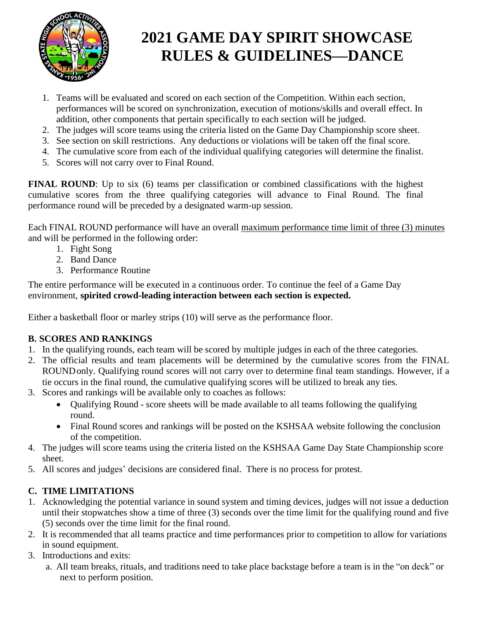

- 1. Teams will be evaluated and scored on each section of the Competition. Within each section, performances will be scored on synchronization, execution of motions/skills and overall effect. In addition, other components that pertain specifically to each section will be judged.
- 2. The judges will score teams using the criteria listed on the Game Day Championship score sheet.
- 3. See section on skill restrictions. Any deductions or violations will be taken off the final score.
- 4. The cumulative score from each of the individual qualifying categories will determine the finalist.
- 5. Scores will not carry over to Final Round.

**FINAL ROUND**: Up to six (6) teams per classification or combined classifications with the highest cumulative scores from the three qualifying categories will advance to Final Round. The final performance round will be preceded by a designated warm-up session.

Each FINAL ROUND performance will have an overall maximum performance time limit of three (3) minutes and will be performed in the following order:

- 1. Fight Song
- 2. Band Dance
- 3. Performance Routine

The entire performance will be executed in a continuous order. To continue the feel of a Game Day environment, **spirited crowd-leading interaction between each section is expected.**

Either a basketball floor or marley strips (10) will serve as the performance floor.

## **B. SCORES AND RANKINGS**

- 1. In the qualifying rounds, each team will be scored by multiple judges in each of the three categories.
- 2. The official results and team placements will be determined by the cumulative scores from the FINAL ROUND only. Qualifying round scores will not carry over to determine final team standings. However, if a tie occurs in the final round, the cumulative qualifying scores will be utilized to break any ties.
- 3. Scores and rankings will be available only to coaches as follows:
	- Qualifying Round score sheets will be made available to all teams following the qualifying round.
	- Final Round scores and rankings will be posted on the KSHSAA website following the conclusion of the competition.
- 4. The judges will score teams using the criteria listed on the KSHSAA Game Day State Championship score sheet.
- 5. All scores and judges' decisions are considered final. There is no process for protest.

# **C. TIME LIMITATIONS**

- 1. Acknowledging the potential variance in sound system and timing devices, judges will not issue a deduction until their stopwatches show a time of three (3) seconds over the time limit for the qualifying round and five (5) seconds over the time limit for the final round.
- 2. It is recommended that all teams practice and time performances prior to competition to allow for variations in sound equipment.
- 3. Introductions and exits:
	- a. All team breaks, rituals, and traditions need to take place backstage before a team is in the "on deck" or next to perform position.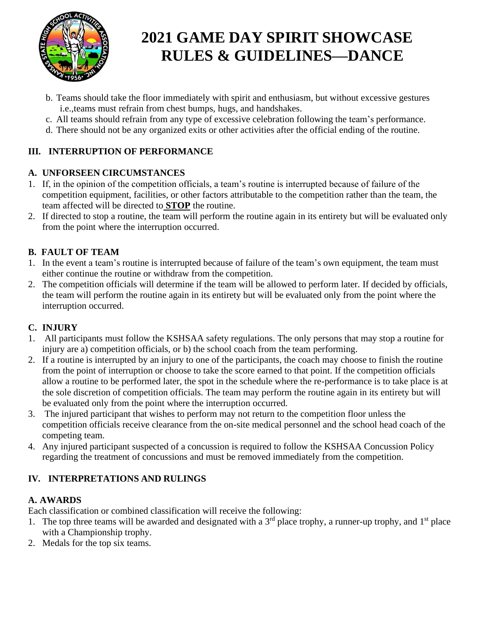

- b. Teams should take the floor immediately with spirit and enthusiasm, but without excessive gestures i.e.,teams must refrain from chest bumps, hugs, and handshakes.
- c. All teams should refrain from any type of excessive celebration following the team's performance.
- d. There should not be any organized exits or other activities after the official ending of the routine.

# **III. INTERRUPTION OF PERFORMANCE**

# **A. UNFORSEEN CIRCUMSTANCES**

- 1. If, in the opinion of the competition officials, a team's routine is interrupted because of failure of the competition equipment, facilities, or other factors attributable to the competition rather than the team, the team affected will be directed to **STOP** the routine.
- 2. If directed to stop a routine, the team will perform the routine again in its entirety but will be evaluated only from the point where the interruption occurred.

# **B. FAULT OF TEAM**

- 1. In the event a team's routine is interrupted because of failure of the team's own equipment, the team must either continue the routine or withdraw from the competition.
- 2. The competition officials will determine if the team will be allowed to perform later. If decided by officials, the team will perform the routine again in its entirety but will be evaluated only from the point where the interruption occurred.

# **C. INJURY**

- 1. All participants must follow the KSHSAA safety regulations. The only persons that may stop a routine for injury are a) competition officials, or b) the school coach from the team performing.
- 2. If a routine is interrupted by an injury to one of the participants, the coach may choose to finish the routine from the point of interruption or choose to take the score earned to that point. If the competition officials allow a routine to be performed later, the spot in the schedule where the re-performance is to take place is at the sole discretion of competition officials. The team may perform the routine again in its entirety but will be evaluated only from the point where the interruption occurred.
- 3. The injured participant that wishes to perform may not return to the competition floor unless the competition officials receive clearance from the on-site medical personnel and the school head coach of the competing team.
- 4. Any injured participant suspected of a concussion is required to follow the KSHSAA Concussion Policy regarding the treatment of concussions and must be removed immediately from the competition.

# **IV. INTERPRETATIONS AND RULINGS**

# **A. AWARDS**

Each classification or combined classification will receive the following:

- 1. The top three teams will be awarded and designated with a  $3<sup>rd</sup>$  place trophy, a runner-up trophy, and  $1<sup>st</sup>$  place with a Championship trophy.
- 2. Medals for the top six teams.